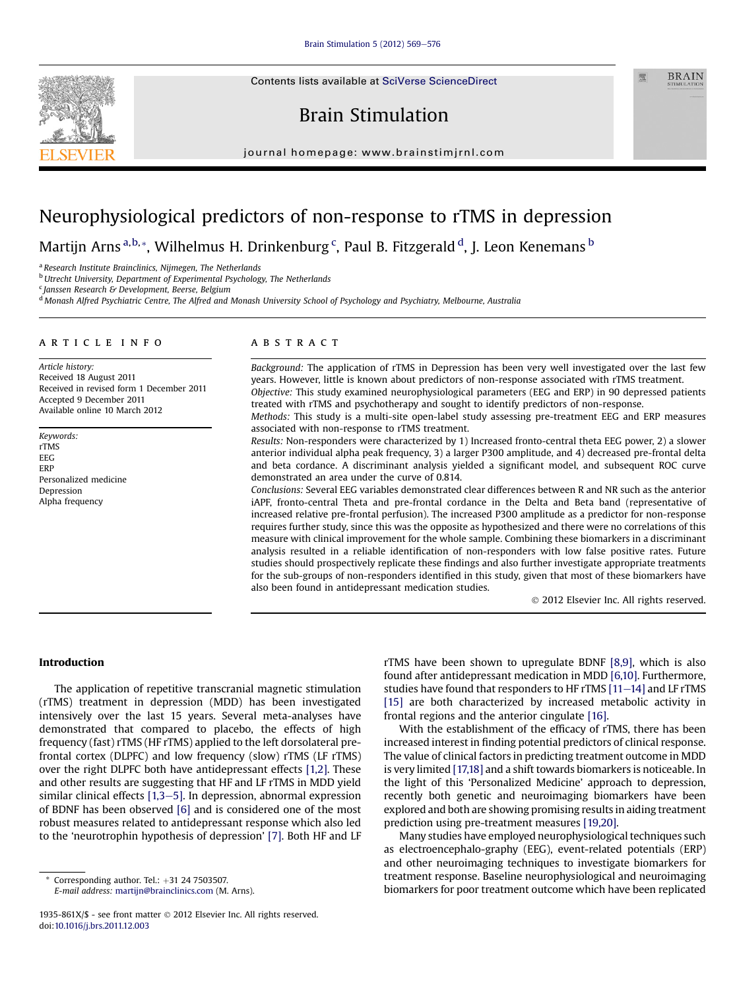Contents lists available at SciVerse ScienceDirect

# Brain Stimulation

journal homepage: [www.brainstimjrnl.com](http://www.brainstimjrnl.com)

# Neurophysiological predictors of non-response to rTMS in depression

Martijn Arns<sup>a,b,</sup>\*, Wilhelmus H. Drinkenburg<sup>c</sup>, Paul B. Fitzgerald <sup>d</sup>, J. Leon Kenemans <sup>b</sup>

<sup>a</sup> Research Institute Brainclinics, Nijmegen, The Netherlands

<sup>b</sup> Utrecht University, Department of Experimental Psychology, The Netherlands

<sup>c</sup> Janssen Research & Development, Beerse, Belgium

d Monash Alfred Psychiatric Centre, The Alfred and Monash University School of Psychology and Psychiatry, Melbourne, Australia

## article info

Article history: Received 18 August 2011 Received in revised form 1 December 2011 Accepted 9 December 2011 Available online 10 March 2012

Keywords: rTMS EEG ERP Personalized medicine Depression Alpha frequency

# ABSTRACT

Background: The application of rTMS in Depression has been very well investigated over the last few years. However, little is known about predictors of non-response associated with rTMS treatment. Objective: This study examined neurophysiological parameters (EEG and ERP) in 90 depressed patients treated with rTMS and psychotherapy and sought to identify predictors of non-response.

Methods: This study is a multi-site open-label study assessing pre-treatment EEG and ERP measures associated with non-response to rTMS treatment.

Results: Non-responders were characterized by 1) Increased fronto-central theta EEG power, 2) a slower anterior individual alpha peak frequency, 3) a larger P300 amplitude, and 4) decreased pre-frontal delta and beta cordance. A discriminant analysis yielded a significant model, and subsequent ROC curve demonstrated an area under the curve of 0.814.

Conclusions: Several EEG variables demonstrated clear differences between R and NR such as the anterior iAPF, fronto-central Theta and pre-frontal cordance in the Delta and Beta band (representative of increased relative pre-frontal perfusion). The increased P300 amplitude as a predictor for non-response requires further study, since this was the opposite as hypothesized and there were no correlations of this measure with clinical improvement for the whole sample. Combining these biomarkers in a discriminant analysis resulted in a reliable identification of non-responders with low false positive rates. Future studies should prospectively replicate these findings and also further investigate appropriate treatments for the sub-groups of non-responders identified in this study, given that most of these biomarkers have also been found in antidepressant medication studies.

2012 Elsevier Inc. All rights reserved.

**BRAIN** 

# Introduction

The application of repetitive transcranial magnetic stimulation (rTMS) treatment in depression (MDD) has been investigated intensively over the last 15 years. Several meta-analyses have demonstrated that compared to placebo, the effects of high frequency (fast) rTMS (HF rTMS) applied to the left dorsolateral prefrontal cortex (DLPFC) and low frequency (slow) rTMS (LF rTMS) over the right DLPFC both have antidepressant effects [\[1,2\].](#page-6-0) These and other results are suggesting that HF and LF rTMS in MDD yield similar clinical effects  $[1,3-5]$  $[1,3-5]$ . In depression, abnormal expression of BDNF has been observed [\[6\]](#page-6-0) and is considered one of the most robust measures related to antidepressant response which also led to the 'neurotrophin hypothesis of depression' [\[7\]](#page-6-0). Both HF and LF

E-mail address: [martijn@brainclinics.com](mailto:martijn@brainclinics.com) (M. Arns).

rTMS have been shown to upregulate BDNF [\[8,9\]](#page-6-0), which is also found after antidepressant medication in MDD [\[6,10\]](#page-6-0). Furthermore, studies have found that responders to HF rTMS  $[11–14]$  $[11–14]$  $[11–14]$  and LF rTMS [\[15\]](#page-6-0) are both characterized by increased metabolic activity in frontal regions and the anterior cingulate [\[16\]](#page-6-0).

With the establishment of the efficacy of rTMS, there has been increased interest in finding potential predictors of clinical response. The value of clinical factors in predicting treatment outcome in MDD is very limited [\[17,18\]](#page-6-0) and a shift towards biomarkers is noticeable. In the light of this 'Personalized Medicine' approach to depression, recently both genetic and neuroimaging biomarkers have been explored and both are showing promising results in aiding treatment prediction using pre-treatment measures [\[19,20\]](#page-6-0).

Many studies have employed neurophysiological techniques such as electroencephalo-graphy (EEG), event-related potentials (ERP) and other neuroimaging techniques to investigate biomarkers for treatment response. Baseline neurophysiological and neuroimaging biomarkers for poor treatment outcome which have been replicated



Corresponding author. Tel.:  $+31$  24 7503507.

<sup>1935-861</sup>X/\$ - see front matter 2012 Elsevier Inc. All rights reserved. doi:[10.1016/j.brs.2011.12.003](http://dx.doi.org/10.1016/j.brs.2011.12.003)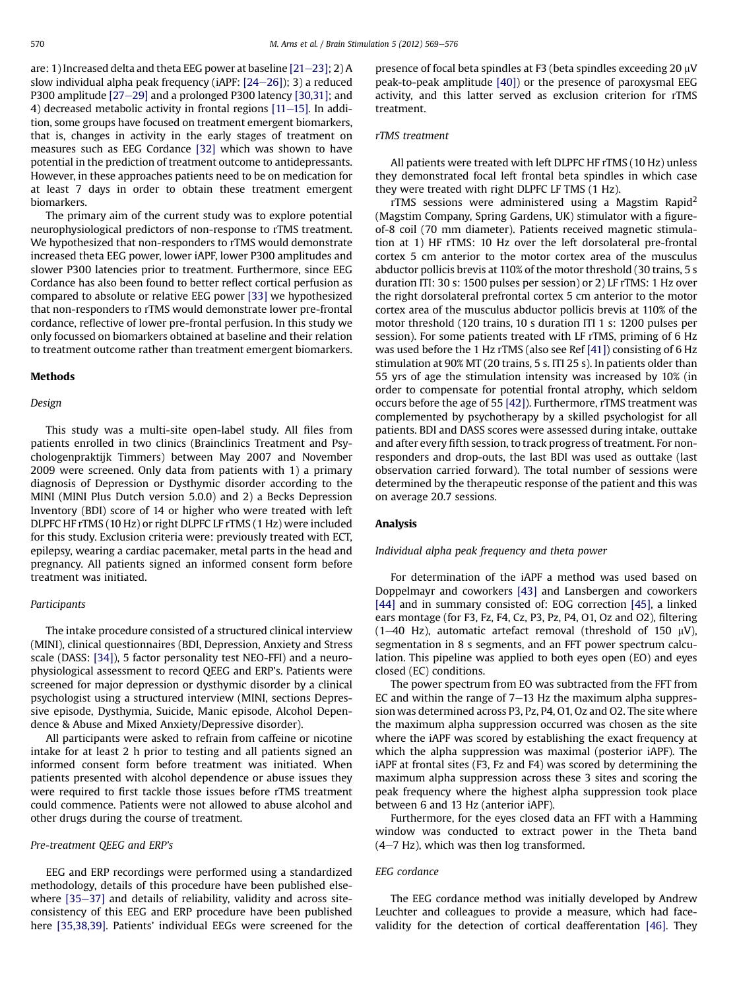are: 1) Increased delta and theta EEG power at baseline  $[21-23]$  $[21-23]$  $[21-23]$ ; 2) A slow individual alpha peak frequency (iAPF:  $[24-26]$  $[24-26]$ ); 3) a reduced P300 amplitude  $[27-29]$  $[27-29]$  $[27-29]$  and a prolonged P300 latency  $[30,31]$ ; and 4) decreased metabolic activity in frontal regions  $[11-15]$  $[11-15]$  $[11-15]$ . In addition, some groups have focused on treatment emergent biomarkers, that is, changes in activity in the early stages of treatment on measures such as EEG Cordance [\[32\]](#page-6-0) which was shown to have potential in the prediction of treatment outcome to antidepressants. However, in these approaches patients need to be on medication for at least 7 days in order to obtain these treatment emergent biomarkers.

The primary aim of the current study was to explore potential neurophysiological predictors of non-response to rTMS treatment. We hypothesized that non-responders to rTMS would demonstrate increased theta EEG power, lower iAPF, lower P300 amplitudes and slower P300 latencies prior to treatment. Furthermore, since EEG Cordance has also been found to better reflect cortical perfusion as compared to absolute or relative EEG power [\[33\]](#page-6-0) we hypothesized that non-responders to rTMS would demonstrate lower pre-frontal cordance, reflective of lower pre-frontal perfusion. In this study we only focussed on biomarkers obtained at baseline and their relation to treatment outcome rather than treatment emergent biomarkers.

# Methods

# Design

This study was a multi-site open-label study. All files from patients enrolled in two clinics (Brainclinics Treatment and Psychologenpraktijk Timmers) between May 2007 and November 2009 were screened. Only data from patients with 1) a primary diagnosis of Depression or Dysthymic disorder according to the MINI (MINI Plus Dutch version 5.0.0) and 2) a Becks Depression Inventory (BDI) score of 14 or higher who were treated with left DLPFC HF rTMS (10 Hz) or right DLPFC LF rTMS (1 Hz) were included for this study. Exclusion criteria were: previously treated with ECT, epilepsy, wearing a cardiac pacemaker, metal parts in the head and pregnancy. All patients signed an informed consent form before treatment was initiated.

# Participants

The intake procedure consisted of a structured clinical interview (MINI), clinical questionnaires (BDI, Depression, Anxiety and Stress scale (DASS: [\[34\]\)](#page-6-0), 5 factor personality test NEO-FFI) and a neurophysiological assessment to record QEEG and ERP's. Patients were screened for major depression or dysthymic disorder by a clinical psychologist using a structured interview (MINI, sections Depressive episode, Dysthymia, Suicide, Manic episode, Alcohol Dependence & Abuse and Mixed Anxiety/Depressive disorder).

All participants were asked to refrain from caffeine or nicotine intake for at least 2 h prior to testing and all patients signed an informed consent form before treatment was initiated. When patients presented with alcohol dependence or abuse issues they were required to first tackle those issues before rTMS treatment could commence. Patients were not allowed to abuse alcohol and other drugs during the course of treatment.

## Pre-treatment QEEG and ERP's

EEG and ERP recordings were performed using a standardized methodology, details of this procedure have been published elsewhere  $[35-37]$  $[35-37]$  $[35-37]$  and details of reliability, validity and across siteconsistency of this EEG and ERP procedure have been published here [\[35,38,39\].](#page-7-0) Patients' individual EEGs were screened for the

presence of focal beta spindles at F3 (beta spindles exceeding  $20 \mu V$ peak-to-peak amplitude [\[40\]\)](#page-7-0) or the presence of paroxysmal EEG activity, and this latter served as exclusion criterion for rTMS treatment.

# rTMS treatment

All patients were treated with left DLPFC HF rTMS (10 Hz) unless they demonstrated focal left frontal beta spindles in which case they were treated with right DLPFC LF TMS (1 Hz).

rTMS sessions were administered using a Magstim Rapid<sup>2</sup> (Magstim Company, Spring Gardens, UK) stimulator with a figureof-8 coil (70 mm diameter). Patients received magnetic stimulation at 1) HF rTMS: 10 Hz over the left dorsolateral pre-frontal cortex 5 cm anterior to the motor cortex area of the musculus abductor pollicis brevis at 110% of the motor threshold (30 trains, 5 s duration ITI: 30 s: 1500 pulses per session) or 2) LF rTMS: 1 Hz over the right dorsolateral prefrontal cortex 5 cm anterior to the motor cortex area of the musculus abductor pollicis brevis at 110% of the motor threshold (120 trains, 10 s duration ITI 1 s: 1200 pulses per session). For some patients treated with LF rTMS, priming of 6 Hz was used before the 1 Hz rTMS (also see Ref [\[41\]](#page-7-0)) consisting of 6 Hz stimulation at 90% MT (20 trains, 5 s. ITI 25 s). In patients older than 55 yrs of age the stimulation intensity was increased by 10% (in order to compensate for potential frontal atrophy, which seldom occurs before the age of 55 [\[42\]\)](#page-7-0). Furthermore, rTMS treatment was complemented by psychotherapy by a skilled psychologist for all patients. BDI and DASS scores were assessed during intake, outtake and after every fifth session, to track progress of treatment. For nonresponders and drop-outs, the last BDI was used as outtake (last observation carried forward). The total number of sessions were determined by the therapeutic response of the patient and this was on average 20.7 sessions.

# Analysis

## Individual alpha peak frequency and theta power

For determination of the iAPF a method was used based on Doppelmayr and coworkers [\[43\]](#page-7-0) and Lansbergen and coworkers [\[44\]](#page-7-0) and in summary consisted of: EOG correction [\[45\],](#page-7-0) a linked ears montage (for F3, Fz, F4, Cz, P3, Pz, P4, O1, Oz and O2), filtering (1-40 Hz), automatic artefact removal (threshold of 150  $\mu$ V), segmentation in 8 s segments, and an FFT power spectrum calculation. This pipeline was applied to both eyes open (EO) and eyes closed (EC) conditions.

The power spectrum from EO was subtracted from the FFT from EC and within the range of  $7-13$  Hz the maximum alpha suppression was determined across P3, Pz, P4, O1, Oz and O2. The site where the maximum alpha suppression occurred was chosen as the site where the iAPF was scored by establishing the exact frequency at which the alpha suppression was maximal (posterior iAPF). The iAPF at frontal sites (F3, Fz and F4) was scored by determining the maximum alpha suppression across these 3 sites and scoring the peak frequency where the highest alpha suppression took place between 6 and 13 Hz (anterior iAPF).

Furthermore, for the eyes closed data an FFT with a Hamming window was conducted to extract power in the Theta band  $(4-7$  Hz), which was then log transformed.

# EEG cordance

The EEG cordance method was initially developed by Andrew Leuchter and colleagues to provide a measure, which had facevalidity for the detection of cortical deafferentation [\[46\].](#page-7-0) They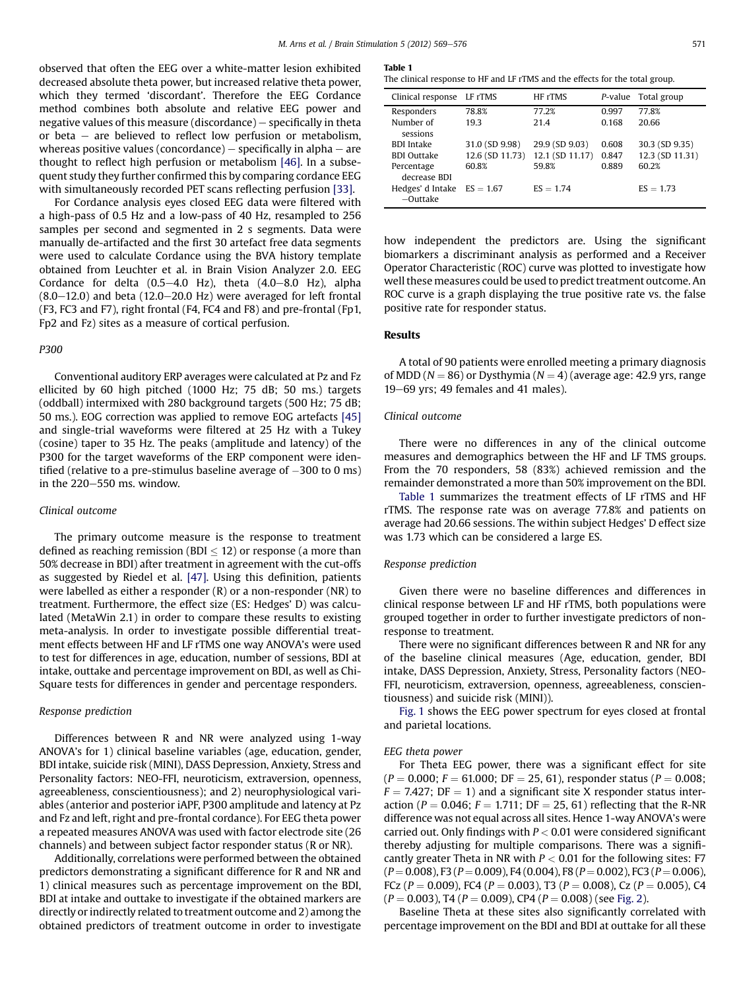observed that often the EEG over a white-matter lesion exhibited decreased absolute theta power, but increased relative theta power, which they termed 'discordant'. Therefore the EEG Cordance method combines both absolute and relative EEG power and negative values of this measure (discordance)  $-$  specifically in theta or beta  $-$  are believed to reflect low perfusion or metabolism, whereas positive values (concordance)  $-$  specifically in alpha  $-$  are thought to reflect high perfusion or metabolism [\[46\].](#page-7-0) In a subsequent study they further confirmed this by comparing cordance EEG with simultaneously recorded PET scans reflecting perfusion [\[33\].](#page-6-0)

For Cordance analysis eyes closed EEG data were filtered with a high-pass of 0.5 Hz and a low-pass of 40 Hz, resampled to 256 samples per second and segmented in 2 s segments. Data were manually de-artifacted and the first 30 artefact free data segments were used to calculate Cordance using the BVA history template obtained from Leuchter et al. in Brain Vision Analyzer 2.0. EEG Cordance for delta  $(0.5-4.0$  Hz), theta  $(4.0-8.0$  Hz), alpha  $(8.0-12.0)$  and beta  $(12.0-20.0 \text{ Hz})$  were averaged for left frontal (F3, FC3 and F7), right frontal (F4, FC4 and F8) and pre-frontal (Fp1, Fp2 and Fz) sites as a measure of cortical perfusion.

## P300

Conventional auditory ERP averages were calculated at Pz and Fz ellicited by 60 high pitched (1000 Hz; 75 dB; 50 ms.) targets (oddball) intermixed with 280 background targets (500 Hz; 75 dB; 50 ms.). EOG correction was applied to remove EOG artefacts [\[45\]](#page-7-0) and single-trial waveforms were filtered at 25 Hz with a Tukey (cosine) taper to 35 Hz. The peaks (amplitude and latency) of the P300 for the target waveforms of the ERP component were identified (relative to a pre-stimulus baseline average of  $-300$  to 0 ms) in the  $220-550$  ms. window.

#### Clinical outcome

The primary outcome measure is the response to treatment defined as reaching remission (BDI  $<$  12) or response (a more than 50% decrease in BDI) after treatment in agreement with the cut-offs as suggested by Riedel et al. [\[47\]](#page-7-0). Using this definition, patients were labelled as either a responder (R) or a non-responder (NR) to treatment. Furthermore, the effect size (ES: Hedges' D) was calculated (MetaWin 2.1) in order to compare these results to existing meta-analysis. In order to investigate possible differential treatment effects between HF and LF rTMS one way ANOVA's were used to test for differences in age, education, number of sessions, BDI at intake, outtake and percentage improvement on BDI, as well as Chi-Square tests for differences in gender and percentage responders.

# Response prediction

Differences between R and NR were analyzed using 1-way ANOVA's for 1) clinical baseline variables (age, education, gender, BDI intake, suicide risk (MINI), DASS Depression, Anxiety, Stress and Personality factors: NEO-FFI, neuroticism, extraversion, openness, agreeableness, conscientiousness); and 2) neurophysiological variables (anterior and posterior iAPF, P300 amplitude and latency at Pz and Fz and left, right and pre-frontal cordance). For EEG theta power a repeated measures ANOVA was used with factor electrode site (26 channels) and between subject factor responder status (R or NR).

Additionally, correlations were performed between the obtained predictors demonstrating a significant difference for R and NR and 1) clinical measures such as percentage improvement on the BDI, BDI at intake and outtake to investigate if the obtained markers are directly or indirectly related to treatment outcome and 2) among the obtained predictors of treatment outcome in order to investigate

# Table 1

The clinical response to HF and LF rTMS and the effects for the total group.

| Clinical response  | LF rTMS         | HF rTMS         |       | P-value Total group |
|--------------------|-----------------|-----------------|-------|---------------------|
| Responders         | 78.8%           | 77.2%           | 0.997 | 77.8%               |
| Number of          | 19.3            | 21.4            | 0.168 | 20.66               |
| sessions           |                 |                 |       |                     |
| <b>BDI</b> Intake  | 31.0 (SD 9.98)  | 29.9 (SD 9.03)  | 0.608 | 30.3 (SD 9.35)      |
| <b>BDI Outtake</b> | 12.6 (SD 11.73) | 12.1 (SD 11.17) | 0.847 | 12.3 (SD 11.31)     |
| Percentage         | 60.8%           | 59.8%           | 0.889 | 60.2%               |
| decrease BDI       |                 |                 |       |                     |
| Hedges' d Intake   | $ES = 1.67$     | $ES = 1.74$     |       | $ES = 1.73$         |
| $-$ Outtake        |                 |                 |       |                     |

how independent the predictors are. Using the significant biomarkers a discriminant analysis as performed and a Receiver Operator Characteristic (ROC) curve was plotted to investigate how well these measures could be used to predict treatment outcome. An ROC curve is a graph displaying the true positive rate vs. the false positive rate for responder status.

# Results

A total of 90 patients were enrolled meeting a primary diagnosis of MDD ( $N = 86$ ) or Dysthymia ( $N = 4$ ) (average age: 42.9 yrs, range  $19-69$  yrs; 49 females and 41 males).

# Clinical outcome

There were no differences in any of the clinical outcome measures and demographics between the HF and LF TMS groups. From the 70 responders, 58 (83%) achieved remission and the remainder demonstrated a more than 50% improvement on the BDI.

Table 1 summarizes the treatment effects of LF rTMS and HF rTMS. The response rate was on average 77.8% and patients on average had 20.66 sessions. The within subject Hedges' D effect size was 1.73 which can be considered a large ES.

# Response prediction

Given there were no baseline differences and differences in clinical response between LF and HF rTMS, both populations were grouped together in order to further investigate predictors of nonresponse to treatment.

There were no significant differences between R and NR for any of the baseline clinical measures (Age, education, gender, BDI intake, DASS Depression, Anxiety, Stress, Personality factors (NEO-FFI, neuroticism, extraversion, openness, agreeableness, conscientiousness) and suicide risk (MINI)).

[Fig. 1](#page-3-0) shows the EEG power spectrum for eyes closed at frontal and parietal locations.

#### EEG theta power

For Theta EEG power, there was a significant effect for site  $(P = 0.000; F = 61.000; DF = 25, 61)$ , responder status  $(P = 0.008;$  $F = 7.427$ ; DF = 1) and a significant site X responder status interaction ( $P = 0.046$ ;  $F = 1.711$ ; DF = 25, 61) reflecting that the R-NR difference was not equal across all sites. Hence 1-way ANOVA's were carried out. Only findings with  $P < 0.01$  were considered significant thereby adjusting for multiple comparisons. There was a significantly greater Theta in NR with  $P < 0.01$  for the following sites: F7  $(P = 0.008)$ , F3  $(P = 0.009)$ , F4  $(0.004)$ , F8  $(P = 0.002)$ , FC3  $(P = 0.006)$ , FCz (P = 0.009), FC4 (P = 0.003), T3 (P = 0.008), Cz (P = 0.005), C4  $(P = 0.003)$ , T4 ( $P = 0.009$ ), CP4 ( $P = 0.008$ ) (see [Fig. 2\)](#page-4-0).

Baseline Theta at these sites also significantly correlated with percentage improvement on the BDI and BDI at outtake for all these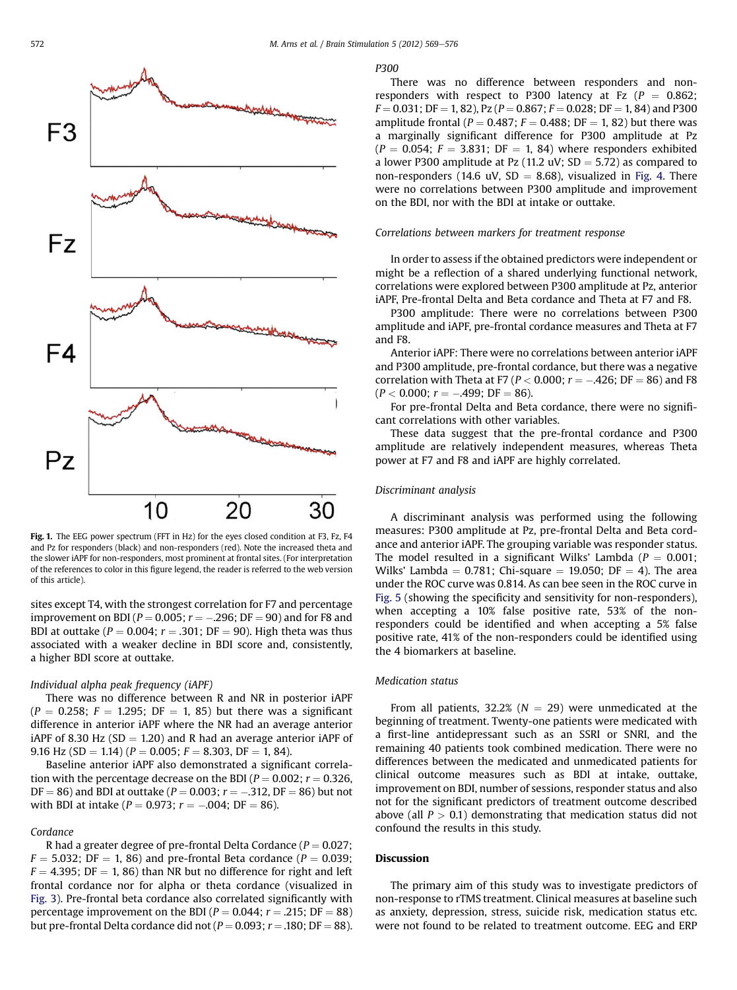<span id="page-3-0"></span>

Fig. 1. The EEG power spectrum (FFT in Hz) for the eyes closed condition at F3, Fz, F4 and Pz for responders (black) and non-responders (red). Note the increased theta and the slower iAPF for non-responders, most prominent at frontal sites. (For interpretation of the references to color in this figure legend, the reader is referred to the web version of this article).

sites except T4, with the strongest correlation for F7 and percentage improvement on BDI ( $P = 0.005$ ;  $r = -.296$ ; DF  $= 90$ ) and for F8 and BDI at outtake ( $P = 0.004$ ;  $r = .301$ ; DF = 90). High theta was thus associated with a weaker decline in BDI score and, consistently, a higher BDI score at outtake.

## Individual alpha peak frequency (iAPF)

There was no difference between R and NR in posterior iAPF  $(P = 0.258; F = 1.295; DF = 1, 85)$  but there was a significant difference in anterior iAPF where the NR had an average anterior iAPF of 8.30 Hz ( $SD = 1.20$ ) and R had an average anterior iAPF of 9.16 Hz (SD = 1.14) ( $P = 0.005$ ;  $F = 8.303$ , DF = 1, 84).

Baseline anterior iAPF also demonstrated a significant correlation with the percentage decrease on the BDI ( $P = 0.002$ ;  $r = 0.326$ ,  $DF = 86$ ) and BDI at outtake ( $P = 0.003$ ;  $r = -.312$ ,  $DF = 86$ ) but not with BDI at intake ( $P = 0.973$ ;  $r = -.004$ ; DF  $= 86$ ).

# Cordance

R had a greater degree of pre-frontal Delta Cordance ( $P = 0.027$ ;  $F = 5.032$ ; DF = 1, 86) and pre-frontal Beta cordance ( $P = 0.039$ ;  $F = 4.395$ ; DF = 1, 86) than NR but no difference for right and left frontal cordance nor for alpha or theta cordance (visualized in [Fig. 3](#page-4-0)). Pre-frontal beta cordance also correlated significantly with percentage improvement on the BDI ( $P = 0.044$ ;  $r = .215$ ; DF = 88) but pre-frontal Delta cordance did not ( $P = 0.093$ ;  $r = .180$ ; DF = 88).

#### P300

There was no difference between responders and nonresponders with respect to P300 latency at Fz  $(P = 0.862;$  $F = 0.031$ ; DF = 1, 82), Pz ( $P = 0.867$ ;  $F = 0.028$ ; DF = 1, 84) and P300 amplitude frontal ( $P = 0.487$ ;  $F = 0.488$ ; DF = 1, 82) but there was a marginally significant difference for P300 amplitude at Pz  $(P = 0.054; F = 3.831; DF = 1, 84)$  where responders exhibited a lower P300 amplitude at Pz (11.2 uV;  $SD = 5.72$ ) as compared to non-responders (14.6 uV,  $SD = 8.68$ ), visualized in [Fig. 4](#page-4-0). There were no correlations between P300 amplitude and improvement on the BDI, nor with the BDI at intake or outtake.

#### Correlations between markers for treatment response

In order to assess if the obtained predictors were independent or might be a reflection of a shared underlying functional network, correlations were explored between P300 amplitude at Pz, anterior iAPF, Pre-frontal Delta and Beta cordance and Theta at F7 and F8.

P300 amplitude: There were no correlations between P300 amplitude and iAPF, pre-frontal cordance measures and Theta at F7 and F8.

Anterior iAPF: There were no correlations between anterior iAPF and P300 amplitude, pre-frontal cordance, but there was a negative correlation with Theta at F7 ( $P < 0.000$ ;  $r = -.426$ ; DF  $= 86$ ) and F8  $(P < 0.000; r = -.499; DF = 86).$ 

For pre-frontal Delta and Beta cordance, there were no significant correlations with other variables.

These data suggest that the pre-frontal cordance and P300 amplitude are relatively independent measures, whereas Theta power at F7 and F8 and iAPF are highly correlated.

## Discriminant analysis

A discriminant analysis was performed using the following measures: P300 amplitude at Pz, pre-frontal Delta and Beta cordance and anterior iAPF. The grouping variable was responder status. The model resulted in a significant Wilks' Lambda ( $P = 0.001$ ; Wilks' Lambda  $= 0.781$ ; Chi-square  $= 19.050$ ; DF  $= 4$ ). The area under the ROC curve was 0.814. As can bee seen in the ROC curve in [Fig. 5](#page-5-0) (showing the specificity and sensitivity for non-responders), when accepting a 10% false positive rate, 53% of the nonresponders could be identified and when accepting a 5% false positive rate, 41% of the non-responders could be identified using the 4 biomarkers at baseline.

## Medication status

From all patients, 32.2% ( $N = 29$ ) were unmedicated at the beginning of treatment. Twenty-one patients were medicated with a first-line antidepressant such as an SSRI or SNRI, and the remaining 40 patients took combined medication. There were no differences between the medicated and unmedicated patients for clinical outcome measures such as BDI at intake, outtake, improvement on BDI, number of sessions, responder status and also not for the significant predictors of treatment outcome described above (all  $P > 0.1$ ) demonstrating that medication status did not confound the results in this study.

# **Discussion**

The primary aim of this study was to investigate predictors of non-response to rTMS treatment. Clinical measures at baseline such as anxiety, depression, stress, suicide risk, medication status etc. were not found to be related to treatment outcome. EEG and ERP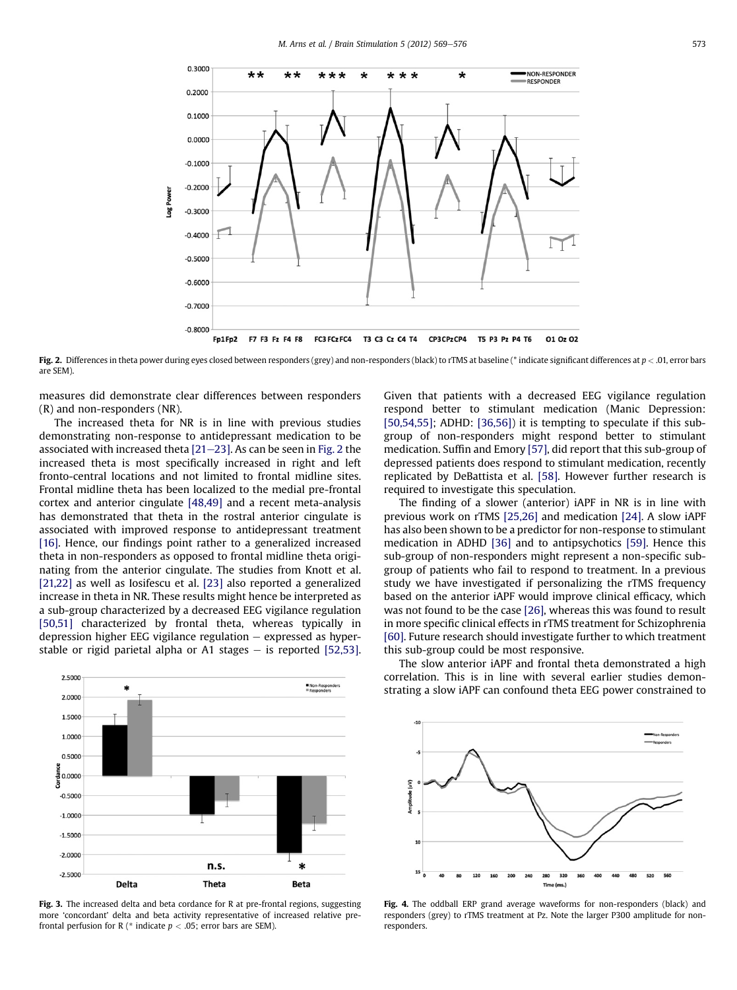<span id="page-4-0"></span>

Fig. 2. Differences in theta power during eyes closed between responders (grey) and non-responders (black) to rTMS at baseline (\* indicate significant differences at  $p < 0.01$ , error bars are SEM).

measures did demonstrate clear differences between responders (R) and non-responders (NR).

The increased theta for NR is in line with previous studies demonstrating non-response to antidepressant medication to be associated with increased theta  $[21-23]$  $[21-23]$  $[21-23]$ . As can be seen in Fig. 2 the increased theta is most specifically increased in right and left fronto-central locations and not limited to frontal midline sites. Frontal midline theta has been localized to the medial pre-frontal cortex and anterior cingulate [\[48,49\]](#page-7-0) and a recent meta-analysis has demonstrated that theta in the rostral anterior cingulate is associated with improved response to antidepressant treatment [\[16\].](#page-6-0) Hence, our findings point rather to a generalized increased theta in non-responders as opposed to frontal midline theta originating from the anterior cingulate. The studies from Knott et al. [\[21,22\]](#page-6-0) as well as Iosifescu et al. [\[23\]](#page-6-0) also reported a generalized increase in theta in NR. These results might hence be interpreted as a sub-group characterized by a decreased EEG vigilance regulation [\[50,51\]](#page-7-0) characterized by frontal theta, whereas typically in depression higher EEG vigilance regulation  $-$  expressed as hyperstable or rigid parietal alpha or A1 stages  $-$  is reported [\[52,53\].](#page-7-0)



Fig. 3. The increased delta and beta cordance for R at pre-frontal regions, suggesting more 'concordant' delta and beta activity representative of increased relative prefrontal perfusion for R (\* indicate  $p < .05$ ; error bars are SEM).

Given that patients with a decreased EEG vigilance regulation respond better to stimulant medication (Manic Depression: [\[50,54,55\]](#page-7-0); ADHD: [\[36,56\]](#page-7-0)) it is tempting to speculate if this subgroup of non-responders might respond better to stimulant medication. Suffin and Emory [\[57\],](#page-7-0) did report that this sub-group of depressed patients does respond to stimulant medication, recently replicated by DeBattista et al. [\[58\]](#page-7-0). However further research is required to investigate this speculation.

The finding of a slower (anterior) iAPF in NR is in line with previous work on rTMS [\[25,26\]](#page-6-0) and medication [\[24\]](#page-6-0). A slow iAPF has also been shown to be a predictor for non-response to stimulant medication in ADHD [\[36\]](#page-7-0) and to antipsychotics [\[59\]](#page-7-0). Hence this sub-group of non-responders might represent a non-specific subgroup of patients who fail to respond to treatment. In a previous study we have investigated if personalizing the rTMS frequency based on the anterior iAPF would improve clinical efficacy, which was not found to be the case [\[26\]](#page-6-0), whereas this was found to result in more specific clinical effects in rTMS treatment for Schizophrenia [\[60\].](#page-7-0) Future research should investigate further to which treatment this sub-group could be most responsive.

The slow anterior iAPF and frontal theta demonstrated a high correlation. This is in line with several earlier studies demonstrating a slow iAPF can confound theta EEG power constrained to



Fig. 4. The oddball ERP grand average waveforms for non-responders (black) and responders (grey) to rTMS treatment at Pz. Note the larger P300 amplitude for nonresponders.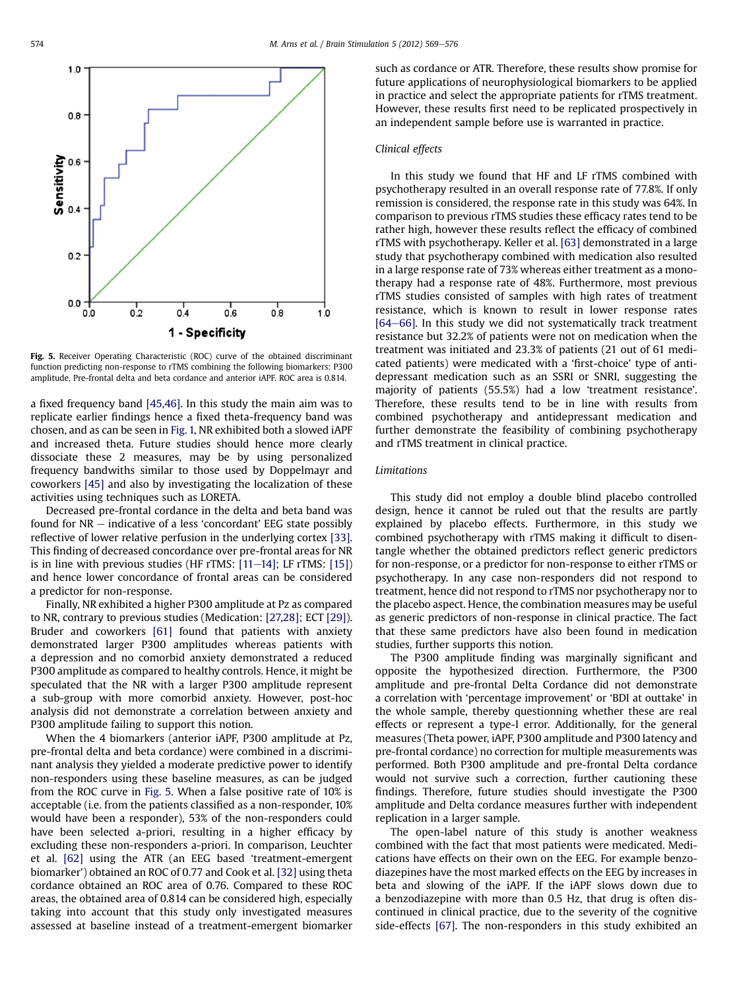<span id="page-5-0"></span>

Fig. 5. Receiver Operating Characteristic (ROC) curve of the obtained discriminant function predicting non-response to rTMS combining the following biomarkers: P300 amplitude, Pre-frontal delta and beta cordance and anterior iAPF. ROC area is 0.814.

a fixed frequency band [\[45,46\]](#page-7-0). In this study the main aim was to replicate earlier findings hence a fixed theta-frequency band was chosen, and as can be seen in [Fig. 1,](#page-3-0) NR exhibited both a slowed iAPF and increased theta. Future studies should hence more clearly dissociate these 2 measures, may be by using personalized frequency bandwiths similar to those used by Doppelmayr and coworkers [\[45\]](#page-7-0) and also by investigating the localization of these activities using techniques such as LORETA.

Decreased pre-frontal cordance in the delta and beta band was found for  $NR$  – indicative of a less 'concordant' EEG state possibly reflective of lower relative perfusion in the underlying cortex [\[33\].](#page-6-0) This finding of decreased concordance over pre-frontal areas for NR is in line with previous studies (HF  $rTMS$ : [\[11](#page-6-0)–[14\];](#page-6-0) LF  $rTMS$ : [\[15\]\)](#page-6-0) and hence lower concordance of frontal areas can be considered a predictor for non-response.

Finally, NR exhibited a higher P300 amplitude at Pz as compared to NR, contrary to previous studies (Medication: [\[27,28\];](#page-6-0) ECT [\[29\]\)](#page-6-0). Bruder and coworkers [\[61\]](#page-7-0) found that patients with anxiety demonstrated larger P300 amplitudes whereas patients with a depression and no comorbid anxiety demonstrated a reduced P300 amplitude as compared to healthy controls. Hence, it might be speculated that the NR with a larger P300 amplitude represent a sub-group with more comorbid anxiety. However, post-hoc analysis did not demonstrate a correlation between anxiety and P300 amplitude failing to support this notion.

When the 4 biomarkers (anterior iAPF, P300 amplitude at Pz, pre-frontal delta and beta cordance) were combined in a discriminant analysis they yielded a moderate predictive power to identify non-responders using these baseline measures, as can be judged from the ROC curve in Fig. 5. When a false positive rate of 10% is acceptable (i.e. from the patients classified as a non-responder, 10% would have been a responder), 53% of the non-responders could have been selected a-priori, resulting in a higher efficacy by excluding these non-responders a-priori. In comparison, Leuchter et al. [\[62\]](#page-7-0) using the ATR (an EEG based 'treatment-emergent biomarker') obtained an ROC of 0.77 and Cook et al. [\[32\]](#page-6-0) using theta cordance obtained an ROC area of 0.76. Compared to these ROC areas, the obtained area of 0.814 can be considered high, especially taking into account that this study only investigated measures assessed at baseline instead of a treatment-emergent biomarker

such as cordance or ATR. Therefore, these results show promise for future applications of neurophysiological biomarkers to be applied in practice and select the appropriate patients for rTMS treatment. However, these results first need to be replicated prospectively in an independent sample before use is warranted in practice.

# Clinical effects

In this study we found that HF and LF rTMS combined with psychotherapy resulted in an overall response rate of 77.8%. If only remission is considered, the response rate in this study was 64%. In comparison to previous rTMS studies these efficacy rates tend to be rather high, however these results reflect the efficacy of combined rTMS with psychotherapy. Keller et al. [\[63\]](#page-7-0) demonstrated in a large study that psychotherapy combined with medication also resulted in a large response rate of 73% whereas either treatment as a monotherapy had a response rate of 48%. Furthermore, most previous rTMS studies consisted of samples with high rates of treatment resistance, which is known to result in lower response rates  $[64-66]$  $[64-66]$ . In this study we did not systematically track treatment resistance but 32.2% of patients were not on medication when the treatment was initiated and 23.3% of patients (21 out of 61 medicated patients) were medicated with a 'first-choice' type of antidepressant medication such as an SSRI or SNRI, suggesting the majority of patients (55.5%) had a low 'treatment resistance'. Therefore, these results tend to be in line with results from combined psychotherapy and antidepressant medication and further demonstrate the feasibility of combining psychotherapy and rTMS treatment in clinical practice.

## Limitations

This study did not employ a double blind placebo controlled design, hence it cannot be ruled out that the results are partly explained by placebo effects. Furthermore, in this study we combined psychotherapy with rTMS making it difficult to disentangle whether the obtained predictors reflect generic predictors for non-response, or a predictor for non-response to either rTMS or psychotherapy. In any case non-responders did not respond to treatment, hence did not respond to rTMS nor psychotherapy nor to the placebo aspect. Hence, the combination measures may be useful as generic predictors of non-response in clinical practice. The fact that these same predictors have also been found in medication studies, further supports this notion.

The P300 amplitude finding was marginally significant and opposite the hypothesized direction. Furthermore, the P300 amplitude and pre-frontal Delta Cordance did not demonstrate a correlation with 'percentage improvement' or 'BDI at outtake' in the whole sample, thereby questionning whether these are real effects or represent a type-I error. Additionally, for the general measures (Theta power, iAPF, P300 amplitude and P300 latency and pre-frontal cordance) no correction for multiple measurements was performed. Both P300 amplitude and pre-frontal Delta cordance would not survive such a correction, further cautioning these findings. Therefore, future studies should investigate the P300 amplitude and Delta cordance measures further with independent replication in a larger sample.

The open-label nature of this study is another weakness combined with the fact that most patients were medicated. Medications have effects on their own on the EEG. For example benzodiazepines have the most marked effects on the EEG by increases in beta and slowing of the iAPF. If the iAPF slows down due to a benzodiazepine with more than 0.5 Hz, that drug is often discontinued in clinical practice, due to the severity of the cognitive side-effects [\[67\].](#page-7-0) The non-responders in this study exhibited an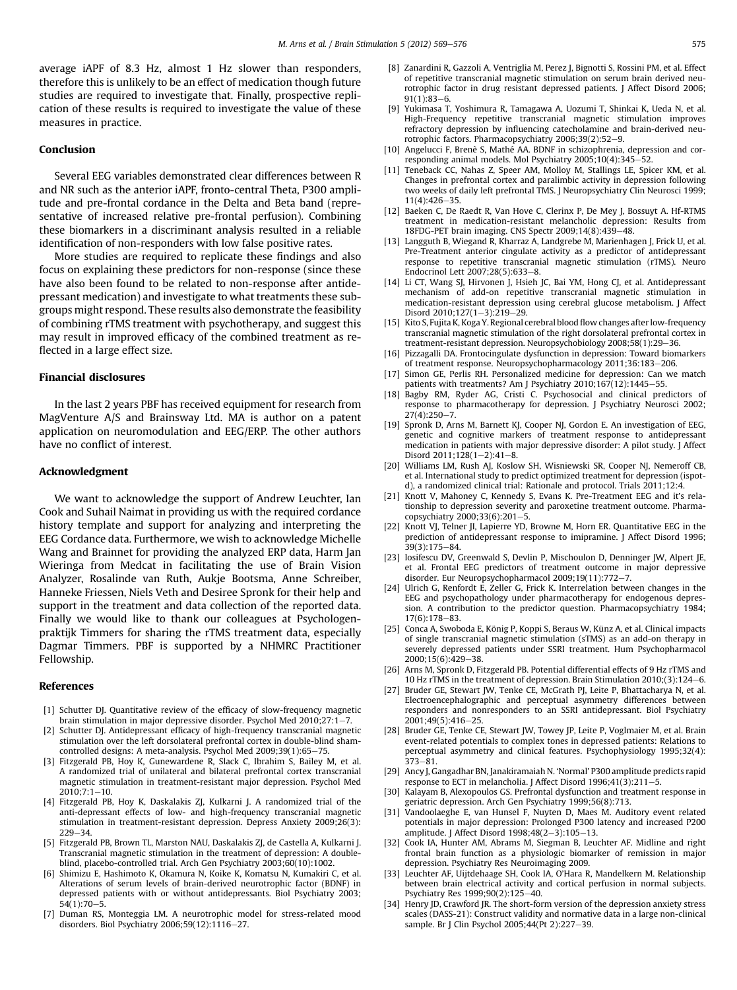<span id="page-6-0"></span>average iAPF of 8.3 Hz, almost 1 Hz slower than responders, therefore this is unlikely to be an effect of medication though future studies are required to investigate that. Finally, prospective replication of these results is required to investigate the value of these measures in practice.

# Conclusion

Several EEG variables demonstrated clear differences between R and NR such as the anterior iAPF, fronto-central Theta, P300 amplitude and pre-frontal cordance in the Delta and Beta band (representative of increased relative pre-frontal perfusion). Combining these biomarkers in a discriminant analysis resulted in a reliable identification of non-responders with low false positive rates.

More studies are required to replicate these findings and also focus on explaining these predictors for non-response (since these have also been found to be related to non-response after antidepressant medication) and investigate to what treatments these subgroups might respond. These results also demonstrate the feasibility of combining rTMS treatment with psychotherapy, and suggest this may result in improved efficacy of the combined treatment as reflected in a large effect size.

# Financial disclosures

In the last 2 years PBF has received equipment for research from MagVenture A/S and Brainsway Ltd. MA is author on a patent application on neuromodulation and EEG/ERP. The other authors have no conflict of interest.

## Acknowledgment

We want to acknowledge the support of Andrew Leuchter, Ian Cook and Suhail Naimat in providing us with the required cordance history template and support for analyzing and interpreting the EEG Cordance data. Furthermore, we wish to acknowledge Michelle Wang and Brainnet for providing the analyzed ERP data, Harm Jan Wieringa from Medcat in facilitating the use of Brain Vision Analyzer, Rosalinde van Ruth, Aukje Bootsma, Anne Schreiber, Hanneke Friessen, Niels Veth and Desiree Spronk for their help and support in the treatment and data collection of the reported data. Finally we would like to thank our colleagues at Psychologenpraktijk Timmers for sharing the rTMS treatment data, especially Dagmar Timmers. PBF is supported by a NHMRC Practitioner Fellowship.

# References

- [1] Schutter DJ. Quantitative review of the efficacy of slow-frequency magnetic brain stimulation in major depressive disorder. Psychol Med  $2010;27:1-7$ .
- [2] Schutter DJ. Antidepressant efficacy of high-frequency transcranial magnetic stimulation over the left dorsolateral prefrontal cortex in double-blind shamcontrolled designs: A meta-analysis. Psychol Med 2009;39(1):65-75.
- [3] Fitzgerald PB, Hoy K, Gunewardene R, Slack C, Ibrahim S, Bailey M, et al. A randomized trial of unilateral and bilateral prefrontal cortex transcranial magnetic stimulation in treatment-resistant major depression. Psychol Med 2010;7:1-10.
- [4] Fitzgerald PB, Hoy K, Daskalakis ZJ, Kulkarni J. A randomized trial of the anti-depressant effects of low- and high-frequency transcranial magnetic stimulation in treatment-resistant depression. Depress Anxiety 2009;26(3):  $229 - 34.$
- [5] Fitzgerald PB, Brown TL, Marston NAU, Daskalakis ZJ, de Castella A, Kulkarni J. Transcranial magnetic stimulation in the treatment of depression: A doubleblind, placebo-controlled trial. Arch Gen Psychiatry 2003;60(10):1002.
- [6] Shimizu E, Hashimoto K, Okamura N, Koike K, Komatsu N, Kumakiri C, et al. Alterations of serum levels of brain-derived neurotrophic factor (BDNF) in depressed patients with or without antidepressants. Biol Psychiatry 2003;  $54(1):70-5.$
- [7] Duman RS, Monteggia LM. A neurotrophic model for stress-related mood disorders. Biol Psychiatry 2006;59(12):1116-27.
- [8] Zanardini R, Gazzoli A, Ventriglia M, Perez J, Bignotti S, Rossini PM, et al. Effect of repetitive transcranial magnetic stimulation on serum brain derived neurotrophic factor in drug resistant depressed patients. J Affect Disord 2006;  $91(1):83-6.$
- [9] Yukimasa T, Yoshimura R, Tamagawa A, Uozumi T, Shinkai K, Ueda N, et al. High-Frequency repetitive transcranial magnetic stimulation improves refractory depression by influencing catecholamine and brain-derived neurotrophic factors. Pharmacopsychiatry 2006;39(2):52-9.
- [10] Angelucci F, Brenè S, Mathé AA. BDNF in schizophrenia, depression and corresponding animal models. Mol Psychiatry 2005;10(4):345-52.
- [11] Teneback CC, Nahas Z, Speer AM, Molloy M, Stallings LE, Spicer KM, et al. Changes in prefrontal cortex and paralimbic activity in depression following two weeks of daily left prefrontal TMS. J Neuropsychiatry Clin Neurosci 1999;  $11(4):426-35.$
- [12] Baeken C, De Raedt R, Van Hove C, Clerinx P, De Mey J, Bossuyt A. Hf-RTMS treatment in medication-resistant melancholic depression: Results from 18FDG-PET brain imaging. CNS Spectr 2009;14(8):439-48.
- [13] Langguth B, Wiegand R, Kharraz A, Landgrebe M, Marienhagen J, Frick U, et al. Pre-Treatment anterior cingulate activity as a predictor of antidepressant response to repetitive transcranial magnetic stimulation (rTMS). Neuro Endocrinol Lett 2007;28(5):633-8.
- [14] Li CT, Wang SJ, Hirvonen J, Hsieh JC, Bai YM, Hong CJ, et al. Antidepressant mechanism of add-on repetitive transcranial magnetic stimulation in medication-resistant depression using cerebral glucose metabolism. J Affect Disord 2010;127(1-3):219-29.
- [15] Kito S, Fujita K, Koga Y. Regional cerebral blood flow changes after low-frequency transcranial magnetic stimulation of the right dorsolateral prefrontal cortex in treatment-resistant depression. Neuropsychobiology 2008;58(1):29-36.
- [16] Pizzagalli DA. Frontocingulate dysfunction in depression: Toward biomarkers of treatment response. Neuropsychopharmacology 2011;36:183-206.
- [17] Simon GE, Perlis RH. Personalized medicine for depression: Can we match patients with treatments? Am J Psychiatry  $2010;167(12):1445-55$ .
- [18] Bagby RM, Ryder AG, Cristi C. Psychosocial and clinical predictors of response to pharmacotherapy for depression. J Psychiatry Neurosci 2002; 27(4):250-7.
- [19] Spronk D, Arns M, Barnett KJ, Cooper NJ, Gordon E. An investigation of EEG, genetic and cognitive markers of treatment response to antidepressant medication in patients with major depressive disorder: A pilot study. J Affect Disord  $2011;128(1-2):41-8$ .
- [20] Williams LM, Rush AJ, Koslow SH, Wisniewski SR, Cooper NJ, Nemeroff CB, et al. International study to predict optimized treatment for depression (ispotd), a randomized clinical trial: Rationale and protocol. Trials 2011;12:4.
- [21] Knott V, Mahoney C, Kennedy S, Evans K. Pre-Treatment EEG and it's relationship to depression severity and paroxetine treatment outcome. Pharmacopsychiatry 2000;33(6):201-5.
- [22] Knott VJ, Telner JI, Lapierre YD, Browne M, Horn ER. Quantitative EEG in the prediction of antidepressant response to imipramine. J Affect Disord 1996; 39(3):175-84.
- [23] Iosifescu DV, Greenwald S, Devlin P, Mischoulon D, Denninger JW, Alpert JE, et al. Frontal EEG predictors of treatment outcome in major depressive disorder. Eur Neuropsychopharmacol 2009;19(11):772-7.
- [24] Ulrich G, Renfordt E, Zeller G, Frick K. Interrelation between changes in the EEG and psychopathology under pharmacotherapy for endogenous depression. A contribution to the predictor question. Pharmacopsychiatry 1984;  $17(6):178-83.$
- [25] Conca A, Swoboda E, König P, Koppi S, Beraus W, Künz A, et al. Clinical impacts of single transcranial magnetic stimulation (sTMS) as an add-on therapy in severely depressed patients under SSRI treatment. Hum Psychopharmacol 2000;15(6):429-38.
- [26] Arns M, Spronk D, Fitzgerald PB. Potential differential effects of 9 Hz rTMS and 10 Hz rTMS in the treatment of depression. Brain Stimulation 2010;(3):124-6.
- [27] Bruder GE, Stewart JW, Tenke CE, McGrath PJ, Leite P, Bhattacharya N, et al. Electroencephalographic and perceptual asymmetry differences between responders and nonresponders to an SSRI antidepressant. Biol Psychiatry 2001;49(5):416-25.
- [28] Bruder GE, Tenke CE, Stewart JW, Towey JP, Leite P, Voglmaier M, et al. Brain event-related potentials to complex tones in depressed patients: Relations to perceptual asymmetry and clinical features. Psychophysiology 1995;32(4):  $373 - 81.$
- [29] Ancy J, Gangadhar BN, Janakiramaiah N. 'Normal' P300 amplitude predicts rapid response to ECT in melancholia. J Affect Disord 1996;41(3):211-5.
- [30] Kalayam B, Alexopoulos GS. Prefrontal dysfunction and treatment response in geriatric depression. Arch Gen Psychiatry 1999;56(8):713.
- [31] Vandoolaeghe E, van Hunsel F, Nuyten D, Maes M. Auditory event related potentials in major depression: Prolonged P300 latency and increased P200 amplitude. J Affect Disord  $1998;48(2-3):105-13$ .
- [32] Cook IA, Hunter AM, Abrams M, Siegman B, Leuchter AF. Midline and right frontal brain function as a physiologic biomarker of remission in major depression. Psychiatry Res Neuroimaging 2009.
- [33] Leuchter AF, Uijtdehaage SH, Cook IA, O'Hara R, Mandelkern M. Relationship between brain electrical activity and cortical perfusion in normal subjects. Psychiatry Res 1999;90(2):125-40.
- [34] Henry JD, Crawford JR. The short-form version of the depression anxiety stress scales (DASS-21): Construct validity and normative data in a large non-clinical sample. Br J Clin Psychol 2005;44(Pt 2):227-39.